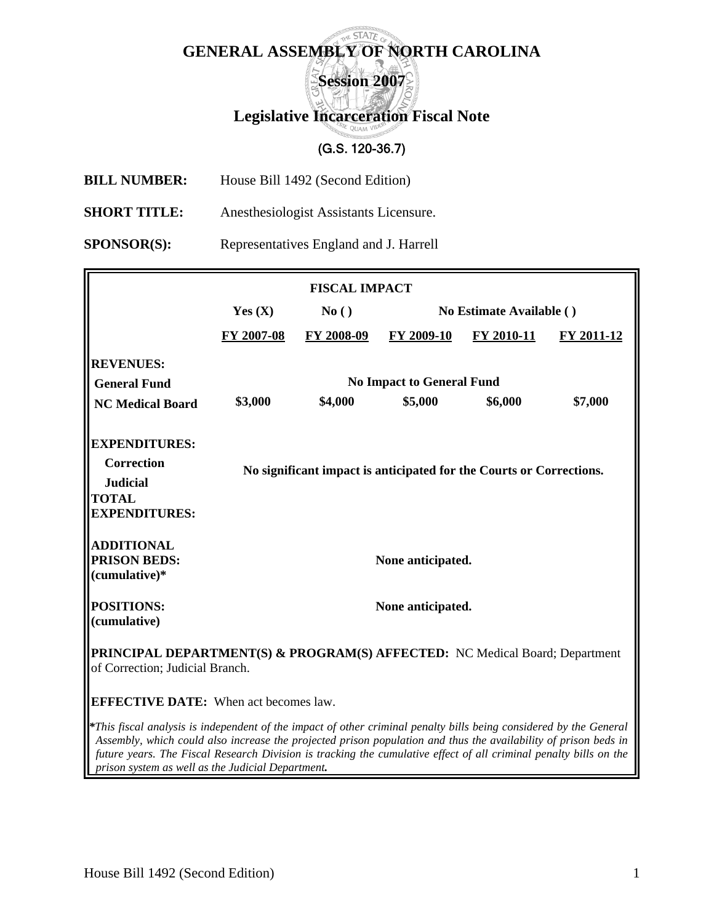## **E STATE GENERAL ASSEMBLY OF NORTH CAROLINA**

**Session 2007** 

## **Legislative Incarceration Fiscal Note**

## (G.S. 120-36.7)

- **BILL NUMBER:** House Bill 1492 (Second Edition)
- **SHORT TITLE:** Anesthesiologist Assistants Licensure.

**SPONSOR(S):** Representatives England and J. Harrell

| <b>FISCAL IMPACT</b>                                                                                                                                                                                                                  |                                                                     |            |                          |            |            |  |  |  |  |
|---------------------------------------------------------------------------------------------------------------------------------------------------------------------------------------------------------------------------------------|---------------------------------------------------------------------|------------|--------------------------|------------|------------|--|--|--|--|
|                                                                                                                                                                                                                                       | Yes $(X)$                                                           | No()       | No Estimate Available () |            |            |  |  |  |  |
|                                                                                                                                                                                                                                       | FY 2007-08                                                          | FY 2008-09 | FY 2009-10               | FY 2010-11 | FY 2011-12 |  |  |  |  |
| <b>REVENUES:</b>                                                                                                                                                                                                                      |                                                                     |            |                          |            |            |  |  |  |  |
| <b>General Fund</b>                                                                                                                                                                                                                   | <b>No Impact to General Fund</b>                                    |            |                          |            |            |  |  |  |  |
| <b>NC Medical Board</b>                                                                                                                                                                                                               | \$3,000                                                             | \$4,000    | \$5,000                  | \$6,000    | \$7,000    |  |  |  |  |
| <b>EXPENDITURES:</b>                                                                                                                                                                                                                  |                                                                     |            |                          |            |            |  |  |  |  |
| <b>Correction</b>                                                                                                                                                                                                                     | No significant impact is anticipated for the Courts or Corrections. |            |                          |            |            |  |  |  |  |
| <b>Judicial</b>                                                                                                                                                                                                                       |                                                                     |            |                          |            |            |  |  |  |  |
| <b>TOTAL</b><br><b>EXPENDITURES:</b>                                                                                                                                                                                                  |                                                                     |            |                          |            |            |  |  |  |  |
|                                                                                                                                                                                                                                       |                                                                     |            |                          |            |            |  |  |  |  |
| <b>ADDITIONAL</b>                                                                                                                                                                                                                     |                                                                     |            |                          |            |            |  |  |  |  |
| <b>PRISON BEDS:</b><br>(cumulative)*                                                                                                                                                                                                  | None anticipated.                                                   |            |                          |            |            |  |  |  |  |
|                                                                                                                                                                                                                                       |                                                                     |            |                          |            |            |  |  |  |  |
| <b>POSITIONS:</b>                                                                                                                                                                                                                     | None anticipated.                                                   |            |                          |            |            |  |  |  |  |
| (cumulative)                                                                                                                                                                                                                          |                                                                     |            |                          |            |            |  |  |  |  |
| <b>PRINCIPAL DEPARTMENT(S) &amp; PROGRAM(S) AFFECTED:</b> NC Medical Board; Department<br>of Correction; Judicial Branch.                                                                                                             |                                                                     |            |                          |            |            |  |  |  |  |
| <b>EFFECTIVE DATE:</b> When act becomes law.                                                                                                                                                                                          |                                                                     |            |                          |            |            |  |  |  |  |
| *This fiscal analysis is independent of the impact of other criminal penalty bills being considered by the General<br>Assembly, which could also increase the projected prison population and thus the availability of prison beds in |                                                                     |            |                          |            |            |  |  |  |  |

*future years. The Fiscal Research Division is tracking the cumulative effect of all criminal penalty bills on the* 

*prison system as well as the Judicial Department.*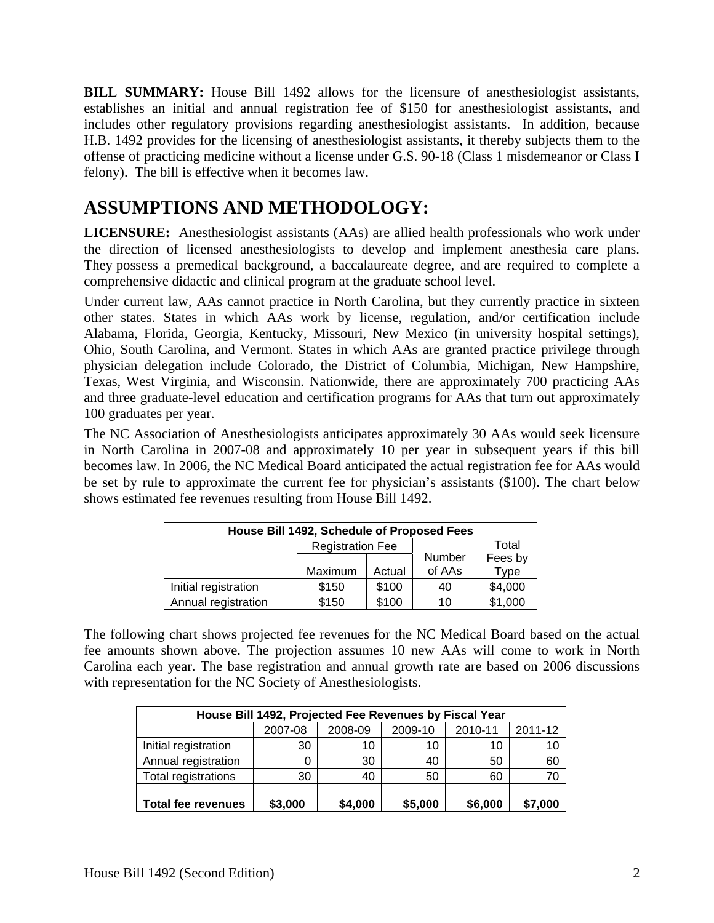**BILL SUMMARY:** House Bill 1492 allows for the licensure of anesthesiologist assistants, establishes an initial and annual registration fee of \$150 for anesthesiologist assistants, and includes other regulatory provisions regarding anesthesiologist assistants. In addition, because H.B. 1492 provides for the licensing of anesthesiologist assistants, it thereby subjects them to the offense of practicing medicine without a license under G.S. 90-18 (Class 1 misdemeanor or Class I felony). The bill is effective when it becomes law.

## **ASSUMPTIONS AND METHODOLOGY:**

**LICENSURE:** Anesthesiologist assistants (AAs) are allied health professionals who work under the direction of licensed anesthesiologists to develop and implement anesthesia care plans. They possess a premedical background, a baccalaureate degree, and are required to complete a comprehensive didactic and clinical program at the graduate school level.

Under current law, AAs cannot practice in North Carolina, but they currently practice in sixteen other states. States in which AAs work by license, regulation, and/or certification include Alabama, Florida, Georgia, Kentucky, Missouri, New Mexico (in university hospital settings), Ohio, South Carolina, and Vermont. States in which AAs are granted practice privilege through physician delegation include Colorado, the District of Columbia, Michigan, New Hampshire, Texas, West Virginia, and Wisconsin. Nationwide, there are approximately 700 practicing AAs and three graduate-level education and certification programs for AAs that turn out approximately 100 graduates per year.

The NC Association of Anesthesiologists anticipates approximately 30 AAs would seek licensure in North Carolina in 2007-08 and approximately 10 per year in subsequent years if this bill becomes law. In 2006, the NC Medical Board anticipated the actual registration fee for AAs would be set by rule to approximate the current fee for physician's assistants (\$100). The chart below shows estimated fee revenues resulting from House Bill 1492.

| House Bill 1492, Schedule of Proposed Fees |                         |        |        |         |  |  |  |  |
|--------------------------------------------|-------------------------|--------|--------|---------|--|--|--|--|
|                                            | <b>Registration Fee</b> |        |        | Total   |  |  |  |  |
|                                            |                         |        | Number | Fees by |  |  |  |  |
|                                            | Maximum                 | Actual | of AAs | Type    |  |  |  |  |
| Initial registration                       | \$150                   | \$100  | 40     | \$4,000 |  |  |  |  |
| Annual registration                        | \$150                   | \$100  | 10     | \$1,000 |  |  |  |  |

The following chart shows projected fee revenues for the NC Medical Board based on the actual fee amounts shown above. The projection assumes 10 new AAs will come to work in North Carolina each year. The base registration and annual growth rate are based on 2006 discussions with representation for the NC Society of Anesthesiologists.

| House Bill 1492, Projected Fee Revenues by Fiscal Year |         |         |         |         |         |  |  |  |  |
|--------------------------------------------------------|---------|---------|---------|---------|---------|--|--|--|--|
|                                                        | 2007-08 | 2008-09 | 2009-10 | 2010-11 | 2011-12 |  |  |  |  |
| Initial registration                                   | 30      | 10      | 10      | 10      | 10      |  |  |  |  |
| Annual registration                                    |         | 30      | 40      | 50      | 60      |  |  |  |  |
| <b>Total registrations</b>                             | 30      | 40      | 50      | 60      |         |  |  |  |  |
| <b>Total fee revenues</b>                              | \$3,000 | \$4,000 | \$5,000 | \$6,000 | \$7,000 |  |  |  |  |